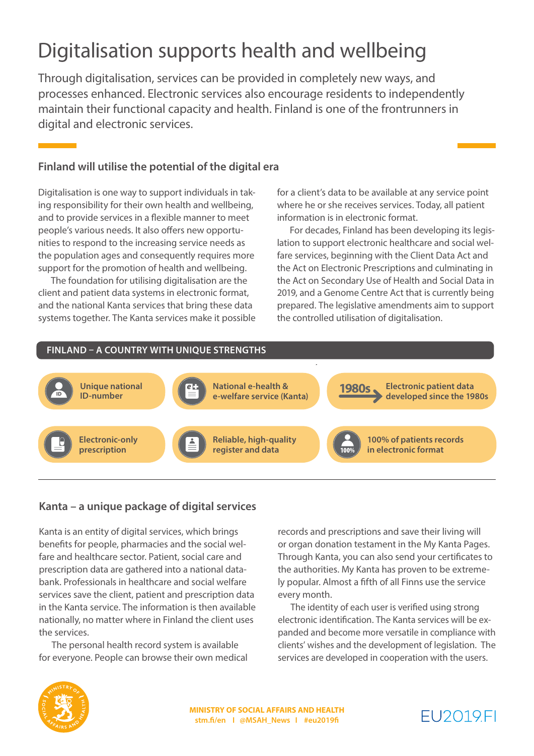# Digitalisation supports health and wellbeing

Through digitalisation, services can be provided in completely new ways, and processes enhanced. Electronic services also encourage residents to independently maintain their functional capacity and health. Finland is one of the frontrunners in digital and electronic services.

### **Finland will utilise the potential of the digital era**

Digitalisation is one way to support individuals in taking responsibility for their own health and wellbeing, and to provide services in a flexible manner to meet people's various needs. It also offers new opportunities to respond to the increasing service needs as the population ages and consequently requires more support for the promotion of health and wellbeing.

The foundation for utilising digitalisation are the client and patient data systems in electronic format, and the national Kanta services that bring these data systems together. The Kanta services make it possible for a client's data to be available at any service point where he or she receives services. Today, all patient information is in electronic format.

For decades, Finland has been developing its legislation to support electronic healthcare and social welfare services, beginning with the Client Data Act and the Act on Electronic Prescriptions and culminating in the Act on Secondary Use of Health and Social Data in 2019, and a Genome Centre Act that is currently being prepared. The legislative amendments aim to support the controlled utilisation of digitalisation.



### **Kanta – a unique package of digital services**

Kanta is an entity of digital services, which brings benefits for people, pharmacies and the social welfare and healthcare sector. Patient, social care and prescription data are gathered into a national databank. Professionals in healthcare and social welfare services save the client, patient and prescription data in the Kanta service. The information is then available nationally, no matter where in Finland the client uses the services.

The personal health record system is available for everyone. People can browse their own medical records and prescriptions and save their living will or organ donation testament in the My Kanta Pages. Through Kanta, you can also send your certificates to the authorities. My Kanta has proven to be extremely popular. Almost a fifth of all Finns use the service every month.

The identity of each user is verified using strong electronic identification. The Kanta services will be expanded and become more versatile in compliance with clients' wishes and the development of legislation. The services are developed in cooperation with the users.



**MINISTRY OF SOCIAL AFFAIRS AND HEALTH stm.fi/en I @MSAH\_News I #eu2019fi**

# FU2019FI